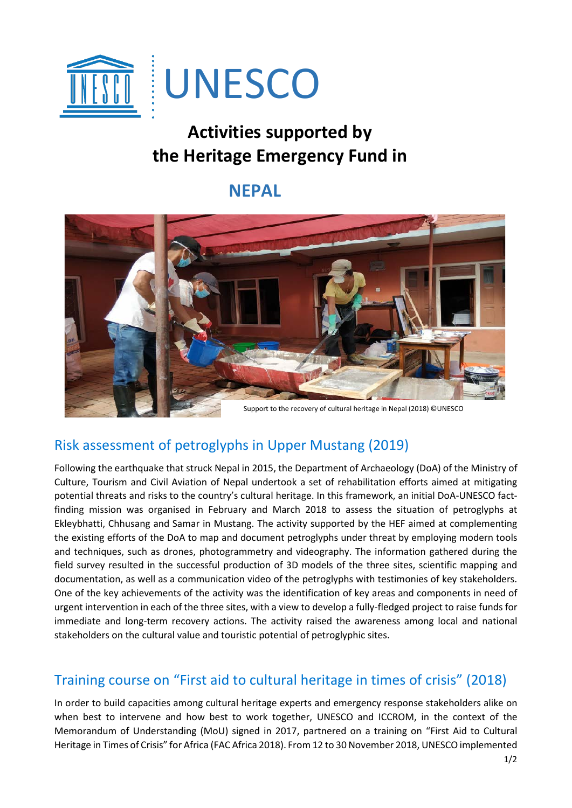

# **Activities supported by the Heritage Emergency Fund in**

## **NEPAL**



#### Support to the recovery of cultural heritage in Nepal (2018) ©UNESCO

### Risk assessment of petroglyphs in Upper Mustang (2019)

Following the earthquake that struck Nepal in 2015, the Department of Archaeology (DoA) of the Ministry of Culture, Tourism and Civil Aviation of Nepal undertook a set of rehabilitation efforts aimed at mitigating potential threats and risks to the country's cultural heritage. In this framework, an initial DoA-UNESCO factfinding mission was organised in February and March 2018 to assess the situation of petroglyphs at Ekleybhatti, Chhusang and Samar in Mustang. The activity supported by the HEF aimed at complementing the existing efforts of the DoA to map and document petroglyphs under threat by employing modern tools and techniques, such as drones, photogrammetry and videography. The information gathered during the field survey resulted in the successful production of 3D models of the three sites, scientific mapping and documentation, as well as a communication video of the petroglyphs with testimonies of key stakeholders. One of the key achievements of the activity was the identification of key areas and components in need of urgent intervention in each of the three sites, with a view to develop a fully-fledged project to raise funds for immediate and long-term recovery actions. The activity raised the awareness among local and national stakeholders on the cultural value and touristic potential of petroglyphic sites.

### Training course on "First aid to cultural heritage in times of crisis" (2018)

In order to build capacities among cultural heritage experts and emergency response stakeholders alike on when best to intervene and how best to work together, UNESCO and ICCROM, in the context of the Memorandum of Understanding (MoU) signed in 2017, partnered on a training on "First Aid to Cultural Heritage in Times of Crisis" for Africa (FAC Africa 2018). From 12 to 30 November 2018, UNESCO implemented